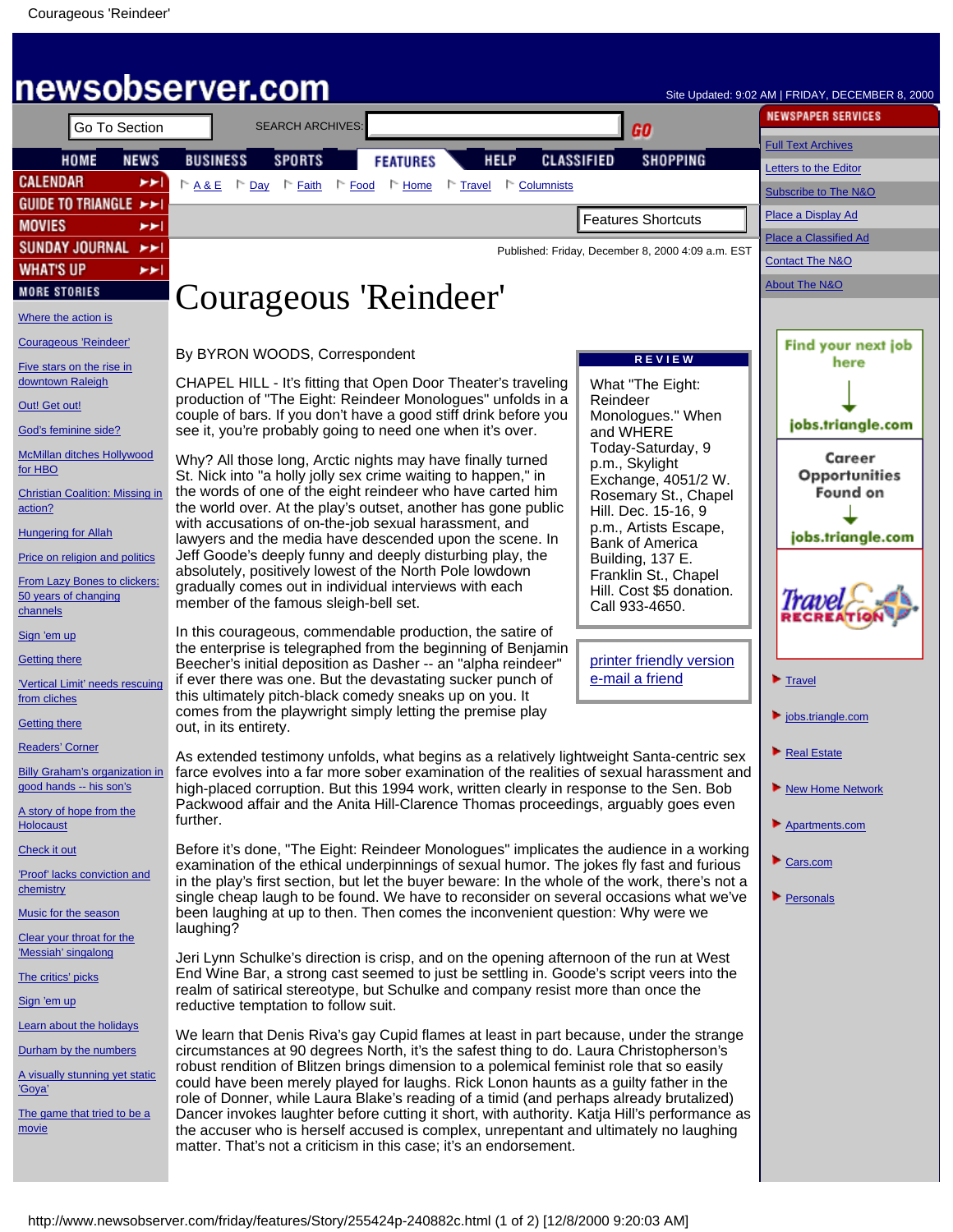<span id="page-0-0"></span>